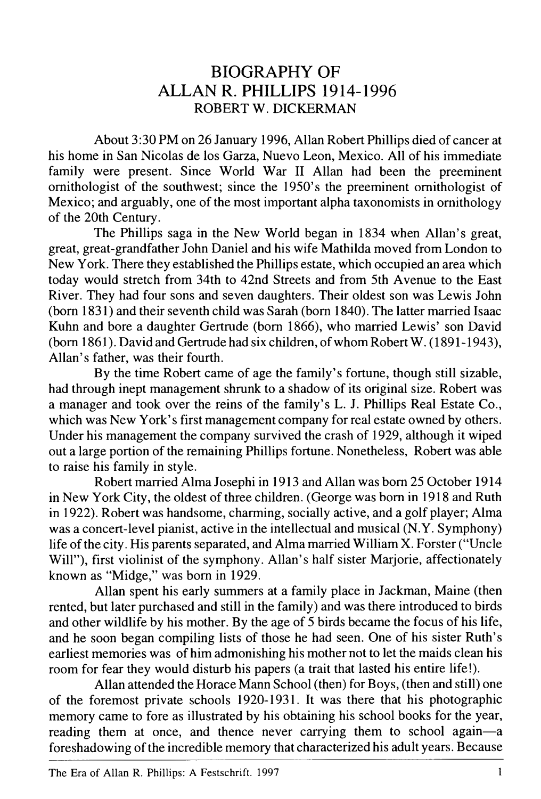## **B IO G R A P H Y OF A L L A N R. PHILLIPS 1914–1996** ROBERT W. DICKERMAN

A bout 3:30 PM on 26 January 1996, Allan Robert Phillips died of cancer at his home in San Nicolas de los Garza, Nuevo Leon, Mexico. All of his immediate family were present. Since World War II Allan had been the preeminent ornithologist of the southwest; since the 1950's the preeminent ornithologist of Mexico; and arguably, one of the most important alpha taxonomists in ornithology of the 20th Century.

The Phillips saga in the New World began in 1834 when Allan's great, great, great-grandfather John Daniel and his wife Mathilda moved from London to New York. There they established the Phillips estate, which occupied an area which today would stretch from 34th to 42nd Streets and from 5th Avenue to the East River. They had four sons and seven daughters. Their oldest son was Lewis John  $(1831)$  and their seventh child was Sarah (born 1840). The latter married Isaac Kuhn and bore a daughter Gertrude (born 1866), who married Lewis' son David (born 1861). David and Gertrude had six children, of whom Robert W.  $(1891-1943)$ , Allan's father, was their fourth.

By the time Robert came of age the family's fortune, though still sizable, had through inept management shrunk to a shadow of its original size. Robert was a manager and took over the reins of the family's L. J. Phillips Real Estate Co., which was New York's first management company for real estate owned by others. Under his management the company survived the crash of 1929, although it wiped out a large portion of the remaining Phillips fortune. Nonetheless, Robert was able to raise his family in style.

Robert married Alma Josephi in 1913 and Allan was born 25 October 1914 in New York City, the oldest of three children. (George was born in 1918 and Ruth in 1922). Robert was handsome, charming, socially active, and a golf player; Alma was a concert-level pianist, active in the intellectual and musical (N.Y. Symphony) life of the city. His parents separated, and Alma married William X. Forster ("Uncle" Will"), first violinist of the symphony. Allan's half sister Marjorie, affectionately known as "Midge," was born in 1929.

Allan spent his early summers at a family place in Jackman, Maine (then rented, but later purchased and still in the family) and was there introduced to birds and other wildlife by his mother. By the age of 5 birds became the focus of his life, and he soon began compiling lists of those he had seen. One of his sister Ruth's earliest memories was of him admonishing his mother not to let the maids clean his room for fear they would disturb his papers (a trait that lasted his entire life!).

Allan attended the Horace Mann School (then) for Boys, (then and still) one of the forem ost private schools 1920–1931. It was there that his photographic memory came to fore as illustrated by his obtaining his school books for the year, reading them at once, and thence never carrying them to school again—a foreshadowing of the incredible memory that characterized his adult years. Because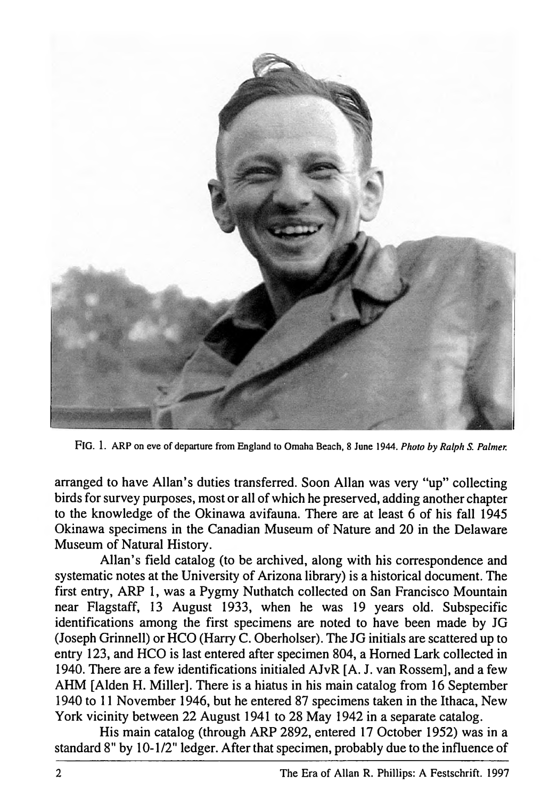

**Fig . 1.** ARP on eve of departure from England to Omaha Beach, 8 June 1944. *Photo by Ralph S. Palmer.*

arranged to have Allan's duties transferred. Soon Allan was very "up" collecting birds for survey purposes, most or all of which he preserved, adding another chapter to the knowledge of the Okinawa avifauna. There are at least  $6$  of his fall 1945 Okinawa specimens in the Canadian Museum of Nature and 20 in the Delaware Museum of Natural History.

Allan's field catalog (to be archived, along with his correspondence and systematic notes at the University of Arizona library) is a historical document. The first entry, ARP 1, was a Pygmy Nuthatch collected on San Francisco Mountain near Flagstaff, 13 August 1933, when he was 19 years old. Subspecific identifications among the first specimens are noted to have been made by JG (Joseph Grinnell) or HCO (Harry C. Oberholser). The JG initials are scattered up to entry 123, and HCO is last entered after specimen 804, a Horned Lark collected in 1940. There are a few identifications initialed AJvR [A. J. van Rossem], and a few AHM [Alden H. Miller]. There is a hiatus in his main catalog from 16 September 1940 to 11 November 1946, but he entered 87 specimens taken in the Ithaca, New York vicinity between 22 August 1941 to 28 May 1942 in a separate catalog.

His main catalog (through ARP 2892, entered 17 October 1952) was in a standard 8" by 10-1/2" ledger. After that specimen, probably due to the influence of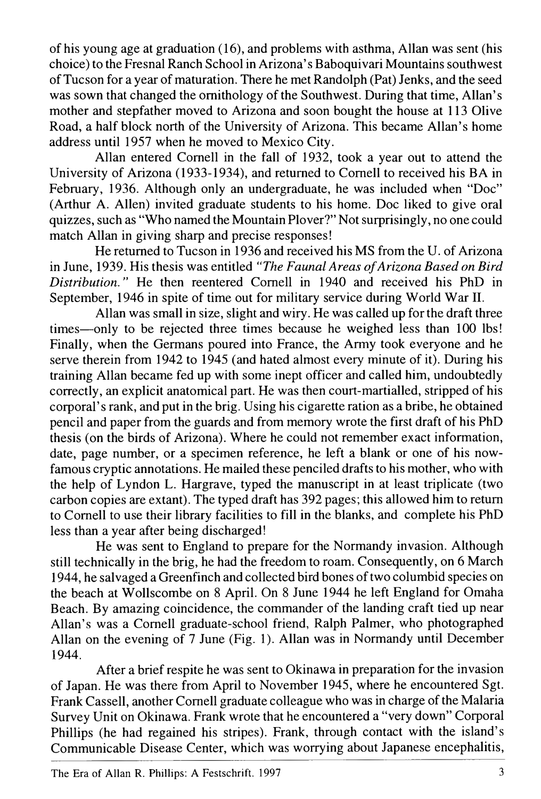of his young age at graduation (16), and problems with asthma, Allan was sent (his choice) to the Fresnal Ranch School in Arizona's Baboquivari Mountains southwest of Tucson for a year of maturation. There he met Randolph (Pat) Jenks, and the seed was sown that changed the ornithology of the Southwest. During that time, Allan's mother and stepfather moved to Arizona and soon bought the house at 113 Olive Road, a half block north of the University of Arizona. This became Allan's home address until 1957 when he moved to Mexico City.

Allan entered Cornell in the fall of 1932, took a year out to attend the University of Arizona (1933-1934), and returned to Cornell to received his BA in February, 1936. Although only an undergraduate, he was included when "Doc" (Arthur A. Allen) invited graduate students to his home. Doc liked to give oral quizzes, such as "Who named the Mountain Plover?" Not surprisingly, no one could match Allan in giving sharp and precise responses!

He returned to Tucson in 1936 and received his MS from the U. of Arizona in June, 1939. His thesis was entitled "The Faunal Areas of Arizona Based on Bird Distribution." He then reentered Cornell in 1940 and received his PhD in September, 1946 in spite of time out for military service during World War II.

Allan was small in size, slight and wiry. He was called up for the draft three times—only to be rejected three times because he weighed less than 100 lbs! Finally, when the Germans poured into France, the Army took everyone and he serve therein from 1942 to  $1945$  (and hated almost every minute of it). During his training Allan became fed up with some inept officer and called him, undoubtedly correctly, an explicit anatomical part. He was then court-m artialed, stripped of his corporal's rank, and put in the brig. Using his cigarette ration as a bribe, he obtained pencil and paper from the guards and from memory wrote the first draft of his PhD thesis (on the birds of Arizona). W here he could not remem ber exact information, date, page number, or a specimen reference, he left a blank or one of his nowfamous cryptic annotations. He mailed these penciled drafts to his mother, who with the help of Lyndon L. Hargrave, typed the manuscript in at least triplicate (two carbon copies are extant). The typed draft has 392 pages; this allowed him to return to Cornell to use their library facilities to fill in the blanks, and com plete his PhD less than a year after being discharged!

He was sent to England to prepare for the Normandy invasion. Although still technically in the brig, he had the freedom to roam. Consequently, on 6 March 1944, he salvaged a Greenfinch and collected bird bones of two columbid species on the beach at Wollscombe on 8 April. On 8 June 1944 he left England for Omaha Beach. By amazing coincidence, the commander of the landing craft tied up near Allan's was a Cornell graduate-school friend, Ralph Palmer, who photographed Allan on the evening of 7 June (Fig. 1). Allan was in Normandy until December 1944.

After a brief respite he was sent to Okinawa in preparation for the invasion of Japan. He was there from April to November 1945, where he encountered Sgt. Frank Cassell, another Cornell graduate colleague who was in charge of the Malaria Survey Unit on Okinawa. Frank wrote that he encountered a "very down" Corporal Phillips (he had regained his stripes). Frank, through contact with the island's Communicable Disease Center, which was worrying about Japanese encephalitis,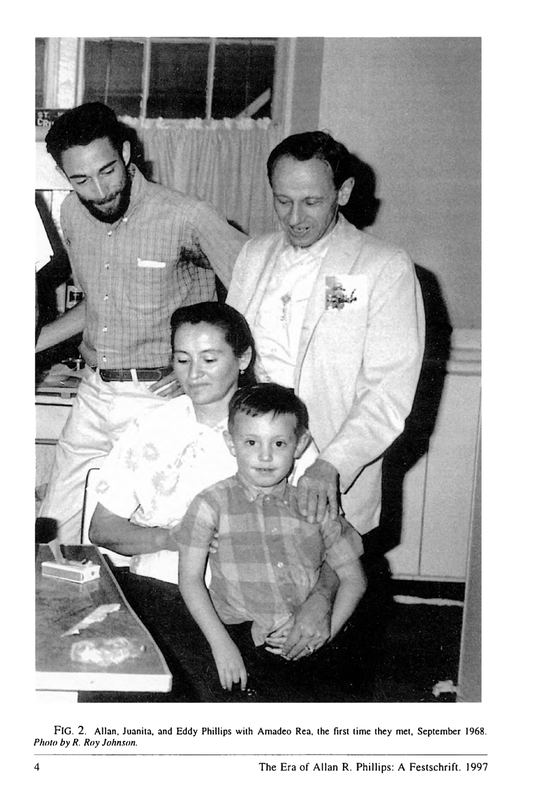

**F ig . 2.** Allan, Juanita, and Eddy Phillips with Amadeo Rea, the first time they met, September 1968. Photo by R. Roy Johnson.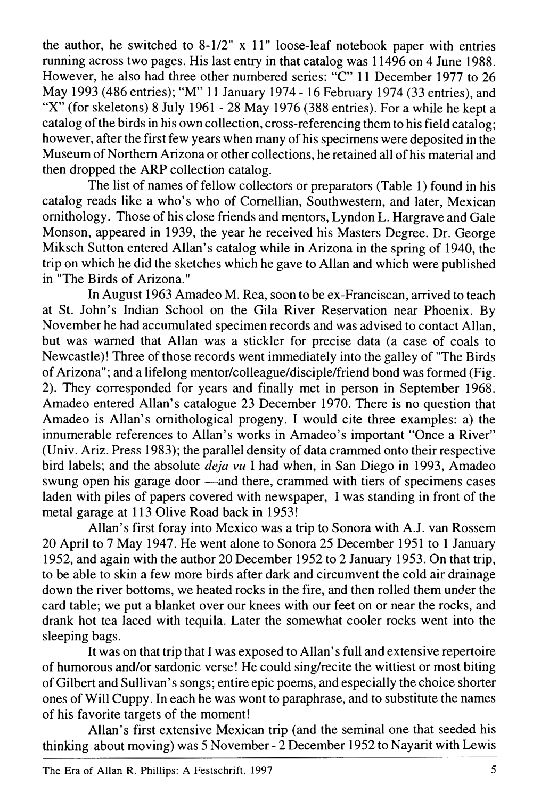the author, he switched to  $8-1/2$ " x 11" loose-leaf notebook paper with entries running across two pages. His last entry in that catalog was 11496 on 4 June 1988. However, he also had three other numbered series: "C" 11 December 1977 to 26 May 1993 (486 entries); "M" 11 January 1974 - 16 February 1974 (33 entries), and "X" (for skeletons) 8 July 1961 - 28 May 1976 (388 entries). For a while he kept a catalog of the birds in his own collection, cross-referencing them to his field catalog; however, after the first few years when many of his specimens were deposited in the Museum of Northern Arizona or other collections, he retained all of his material and then dropped the ARP collection catalog.

The list of names of fellow collectors or preparators (Table 1) found in his catalog reads like a who's who of Cornellian, Southwestern, and later, Mexican ornithology. Those of his close friends and mentors, Lyndon L. Hargrave and Gale Monson, appeared in 1939, the year he received his Masters Degree. Dr. George Miksch Sutton entered Allan's catalog while in Arizona in the spring of 1940, the trip on which he did the sketches which he gave to Allan and which were published in "The Birds of Arizona."

In August 1963 Amadeo M. Rea, soon to be ex-Franciscan, arrived to teach at St. John's Indian School on the Gila River Reservation near Phoenix. By November he had accumulated specimen records and was advised to contact Allan, but was warned that Allan was a stickler for precise data (a case of coals to Newcastle)! Three of those records went immediately into the galley of "The Birds of Arizona"; and a lifelong mentor/colleague/disciple/friend bond was formed (Fig. 2). They corresponded for years and finally met in person in September 1968. Amadeo entered Allan's catalogue 23 December 1970. There is no question that Amadeo is Allan's ornithological progeny. I would cite three examples: a) the innumerable references to Allan's works in Amadeo's important "Once a River" (Univ. Ariz. Press  $1983$ ); the parallel density of data crammed onto their respective bird labels; and the absolute *déj à vu* I had when, in San Diego in 1993, Amadeo swung open his garage door — and there, crammed with tiers of specimens cases laden with piles of papers covered with newspaper, I was standing in front of the metal garage at 113 Olive Road back in 1953!

Allan's first foray into Mexico was a trip to Sonora with A.J. van Rossem 20 April to 7 May 1947. He went alone to Sonora 25 December 1951 to 1 January 1952, and again with the author 20 Decem ber 1952 to 2 January 1953. On that trip, to be able to skin a few more birds after dark and circum vent the cold-air drainage down the river bottoms, we heated rocks in the fire, and then rolled them under the card table; we put a blanket over our knees with our feet on or near the rocks, and drank hot tea laced with tequila. Later the somewhat cooler rocks went into the sleeping bags.

It was on that trip that I was exposed to A llan's full and extensive repertoire of humorous and/or sardonic verse! He could sing/recite the wittiest or most biting of Gilbert and Sullivan's songs; entire epic poems, and especially the choice shorter ones of W ill Cuppy. In each he was wont to paraphrase, and to substitute the names of his favorite targets of the moment!

Allan's first extensive Mexican trip (and the seminal one that seeded his thinking about moving) was 5 November - 2 December 1952 to Nayarit with Lewis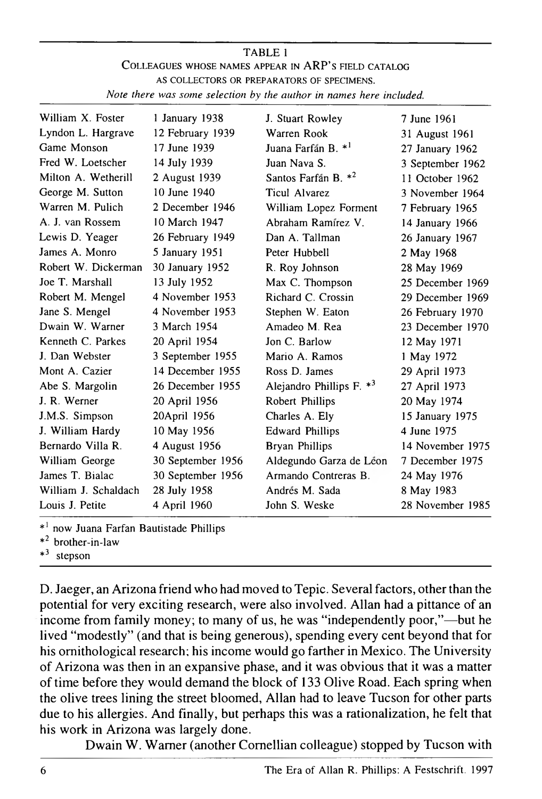## TABLE 1 COLLEAGUES WHOSE NAMES APPEAR IN ARP'S FIELD CATALOG AS COLLECTORS OR PREPARATORS OF SPECIMENS. Note there was some selection by the author in names here included.

| William X. Foster    | 1 January 1938    | J. Stuart Rowley                | 7 June 1961      |
|----------------------|-------------------|---------------------------------|------------------|
| Lyndon L. Hargrave   | 12 February 1939  | Warren Rook                     | 31 August 1961   |
| Game Monson          | 17 June 1939      | Juana Farfán B. * <sup>1</sup>  | 27 January 1962  |
| Fred W. Loetscher    | 14 July 1939      | Juan Nava S.                    | 3 September 1962 |
| Milton A. Wetherill  | 2 August 1939     | Santos Farfán B. * <sup>2</sup> | 11 October 1962  |
| George M. Sutton     | 10 June 1940      | Ticul Alvarez                   | 3 November 1964  |
| Warren M. Pulich     | 2 December 1946   | William Lopez Forment           | 7 February 1965  |
| A. J. van Rossem     | 10 March 1947     | Abraham Ramírez V.              | 14 January 1966  |
| Lewis D. Yeager      | 26 February 1949  | Dan A. Tallman                  | 26 January 1967  |
| James A. Monro       | 5 January 1951    | Peter Hubbell                   | 2 May 1968       |
| Robert W. Dickerman  | 30 January 1952   | R. Roy Johnson                  | 28 May 1969      |
| Joe T. Marshall      | 13 July 1952      | Max C. Thompson                 | 25 December 1969 |
| Robert M. Mengel     | 4 November 1953   | Richard C. Crossin              | 29 December 1969 |
| Jane S. Mengel       | 4 November 1953   | Stephen W. Eaton                | 26 February 1970 |
| Dwain W. Warner      | 3 March 1954      | Amadeo M. Rea                   | 23 December 1970 |
| Kenneth C. Parkes    | 20 April 1954     | Jon C. Barlow                   | 12 May 1971      |
| J. Dan Webster       | 3 September 1955  | Mario A. Ramos                  | 1 May 1972       |
| Mont A. Cazier       | 14 December 1955  | Ross D. James                   | 29 April 1973    |
| Abe S. Margolin      | 26 December 1955  | Alejandro Phillips F. $*^3$     | 27 April 1973    |
| J. R. Werner         | 20 April 1956     | Robert Phillips                 | 20 May 1974      |
| J.M.S. Simpson       | 20April 1956      | Charles A. Ely                  | 15 January 1975  |
| J. William Hardy     | 10 May 1956       | <b>Edward Phillips</b>          | 4 June 1975      |
| Bernardo Villa R.    | 4 August 1956     | <b>Bryan Phillips</b>           | 14 November 1975 |
| William George       | 30 September 1956 | Aldegundo Garza de Léon         | 7 December 1975  |
| James T. Bialac      | 30 September 1956 | Armando Contreras B.            | 24 May 1976      |
| William J. Schaldach | 28 July 1958      | Andrés M. Sada                  | 8 May 1983       |
| Louis J. Petite      | 4 April 1960      | John S. Weske                   | 28 November 1985 |

 $*<sup>1</sup>$  now Juana Farfan Bautistade Phillips

brother-in-law

 $*$ <sup>3</sup> stepson

D. Jaeger, an Arizona friend who had moved to Tepic. Several factors, other than the potential for very exciting research, were also involved. Allan had a pittance of an income from family money; to many of us, he was "independently poor,"—but he lived "modestly" (and that is being generous), spending every cent beyond that for his ornithological research; his income would go farther in Mexico. The University of Arizona was then in an expansive phase, and it was obvious that it was a matter of time before they would demand the block of 133 Olive Road. Each spring when the olive trees lining the street bloomed, Allan had to leave Tucson for other parts due to his allergies. And finally, but perhaps this was a rationalization, he felt that his work in Arizona was largely done.

Dwain W. Warner (another Cornellian colleague) stopped by Tucson with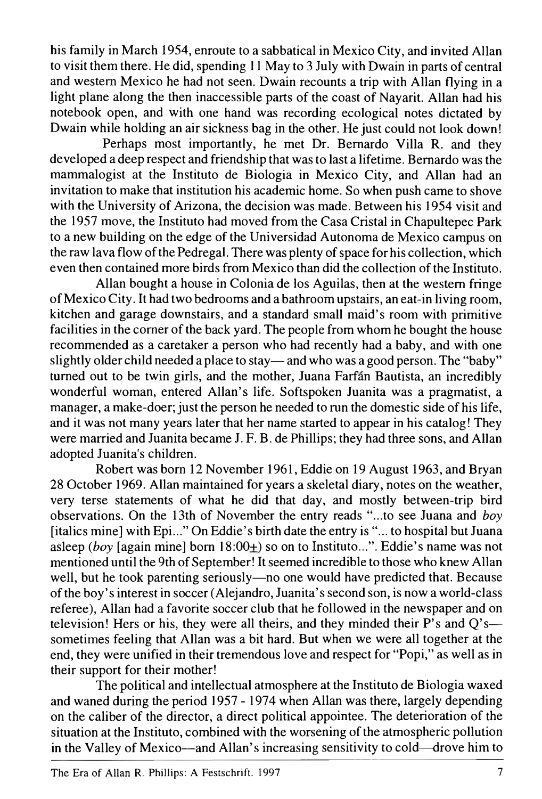his family in March 1954, enroute to a sabbatical in Mexico City, and invited Allan to visit them there. He did, spending 11 May to 3 July with Dwain in parts of central and western Mexico he had not seen. Dwain recounts a trip with Allan flying in a light plane along the then inaccessible parts of the coast of Nayarit. Allan had his notebook open, and with one hand was recording ecological notes dictated by Dwain while holding an air sickness bag in the other. He just could not look down!

Perhaps most importantly, he met Dr. Bernardo Villa R. and they developed a deep respect and friendship that was to last a lifetime. Bernardo was the mammalogist at the Instituto de Biologia in Mexico City, and Allan had an invitation to make that institution his academic home. So when push came to shove with the University of Arizona, the decision was made. Between his 1954 visit and the 1957 move, the Instituto had moved from the Casa Cristal in Chapultepec Park to a new building on the edge of the Universidad Autonoma de Mexico campus on the raw lava flow of the Pedregal. There was plenty of space for his collection, which even then contained more birds from Mexico than did the collection of the Instituto.

Allan bought a house in Colonia de los Aguilas, then at the western fringe of Mexico City. It had two bedrooms and a bathroom upstairs, an eat-in living room, kitchen and garage downstairs, and a standard small maid's room with primitive facilities in the corner of the back yard. The people from whom he bought the house recommended as a caretaker a person who had recently had a baby, and with one slightly older child needed a place to stay — and who was a good person. The "baby" turned out to be twin girls, and the mother, Juana Farfán Bautista, an incredibly wonderful woman, entered Allan's life. Softspoken Juanita was a pragmatist, a manager, a make-doer; just the person he needed to run the domestic side of his life, and it was not many years later that her name started to appear in his catalog! They were married and Juanita became J. F. B. de Phillips; they had three sons, and Allan adopted Juanita's children.

Robert was born 12 November 1961, Eddie on 19 August 1963, and Bryan 28 October 1969. Allan maintained for years a skeletal diary, notes on the weather, very terse statements of what he did that day, and mostly between-trip bird observations. On the 13th of November the entry reads "...to see Juana and *boy* [italics mine] with Epi..." On Eddie's birth date the entry is "... to hospital but Juana asleep ( $boy$  [again mine] born  $18:00<sub>+</sub>$ ) so on to Instituto...". Eddie's name was not mentioned until the 9th of September! It seemed incredible to those who knew Allan well, but he took parenting seriously—no one would have predicted that. Because of the boy's interest in soccer (Alejandro, Juanita's second son, is now a world-class referee), Allan had a favorite soccer club that he followed in the new spaper and on television! Hers or his, they were all theirs, and they minded their  $P$ 's and  $Q$ 's sometimes feeling that Allan was a bit hard. But when we were all together at the end, they were unified in their tremendous love and respect for "Popi," as well as in their support for their mother!

The political and intellectual atmosphere at the Instituto de Biologia waxed and waned during the period 1957– 1974 when Allan was there, largely depending on the caliber of the director, a direct political appointee. The deterioration of the situation at the Instituto, combined with the worsening of the atmospheric pollution in the Valley of Mexico—and Allan's increasing sensitivity to cold—drove him to